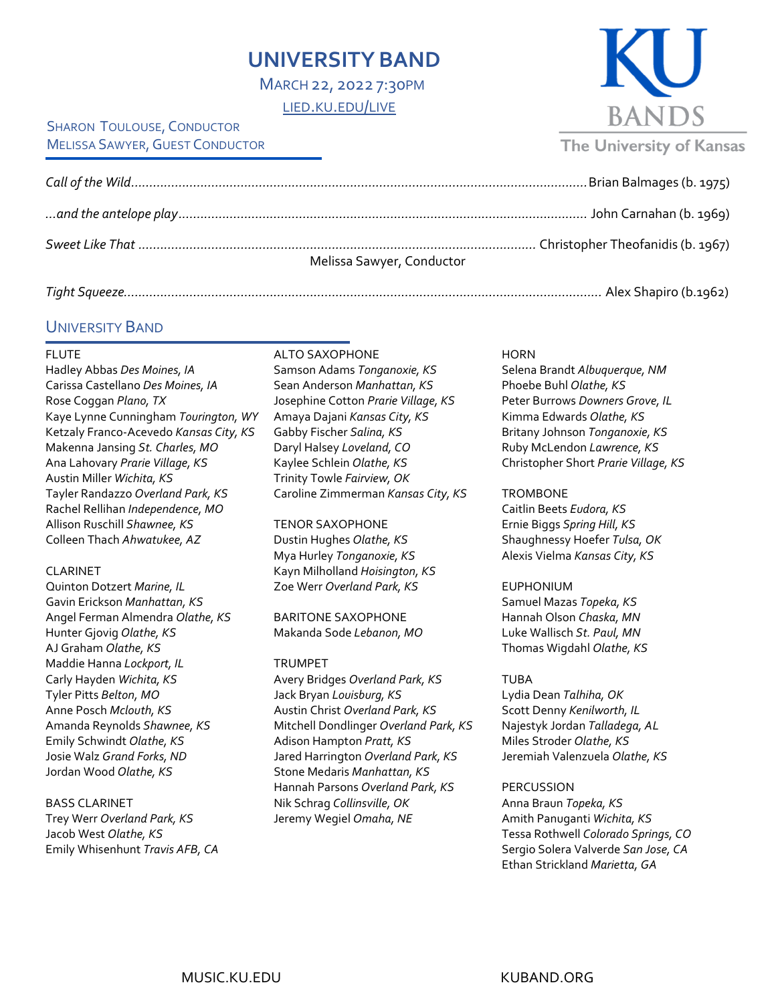# **UNIVERSITY BAND**

MARCH 22, 2022 7:30PM [LIED.KU.EDU/LIVE](http://lied.ku.edu/live)

### SHARON TOULOUSE, CONDUCTOR **MELISSA SAWYER, GUEST CONDUCTOR**

| Melissa Sawyer, Conductor |
|---------------------------|
|                           |

|--|--|

## UNIVERSITY BAND

### FLUTE

Hadley Abbas *Des Moines, IA* Carissa Castellano *Des Moines, IA* Rose Coggan *Plano, TX* Kaye Lynne Cunningham *Tourington, WY* Ketzaly Franco-Acevedo *Kansas City, KS* Makenna Jansing *St. Charles, MO* Ana Lahovary *Prarie Village, KS* Austin Miller *Wichita, KS* Tayler Randazzo *Overland Park, KS* Rachel Rellihan *Independence, MO* Allison Ruschill *Shawnee, KS* Colleen Thach *Ahwatukee, AZ*

### CLARINET

Quinton Dotzert *Marine, IL* Gavin Erickson *Manhattan, KS* Angel Ferman Almendra *Olathe, KS* Hunter Gjovig *Olathe, KS* AJ Graham *Olathe, KS* Maddie Hanna *Lockport, IL* Carly Hayden *Wichita, KS* Tyler Pitts *Belton, MO* Anne Posch *Mclouth, KS* Amanda Reynolds *Shawnee, KS* Emily Schwindt *Olathe, KS* Josie Walz *Grand Forks, ND* Jordan Wood *Olathe, KS*

### BASS CLARINET

Trey Werr *Overland Park, KS* Jacob West *Olathe, KS* Emily Whisenhunt *Travis AFB, CA* ALTO SAXOPHONE Samson Adams *Tonganoxie, KS* Sean Anderson *Manhattan, KS* Josephine Cotton *Prarie Village, KS* Amaya Dajani *Kansas City, KS* Gabby Fischer *Salina, KS* Daryl Halsey *Loveland, CO* Kaylee Schlein *Olathe, KS* Trinity Towle *Fairview, OK* Caroline Zimmerman *Kansas City, KS*

TENOR SAXOPHONE Dustin Hughes *Olathe, KS* Mya Hurley *Tonganoxie, KS* Kayn Milholland *Hoisington, KS* Zoe Werr *Overland Park, KS*

BARITONE SAXOPHONE Makanda Sode *Lebanon, MO*

### TRUMPET

Avery Bridges *Overland Park, KS* Jack Bryan *Louisburg, KS* Austin Christ *Overland Park, KS* Mitchell Dondlinger *Overland Park, KS* Adison Hampton *Pratt, KS* Jared Harrington *Overland Park, KS* Stone Medaris *Manhattan, KS* Hannah Parsons *Overland Park, KS* Nik Schrag *Collinsville, OK* Jeremy Wegiel *Omaha, NE*

### **HORN**

Selena Brandt *Albuquerque, NM* Phoebe Buhl *Olathe, KS* Peter Burrows *Downers Grove, IL* Kimma Edwards *Olathe, KS* Britany Johnson *Tonganoxie, KS* Ruby McLendon *Lawrence, KS* Christopher Short *Prarie Village, KS*

**BANDS** 

**The University of Kansas** 

### **TROMBONE**

Caitlin Beets *Eudora, KS* Ernie Biggs *Spring Hill, KS* Shaughnessy Hoefer *Tulsa, OK* Alexis Vielma *Kansas City, KS*

### EUPHONIUM

Samuel Mazas *Topeka, KS* Hannah Olson *Chaska, MN* Luke Wallisch *St. Paul, MN* Thomas Wigdahl *Olathe, KS*

### TUBA

Lydia Dean *Talhiha, OK* Scott Denny *Kenilworth, IL* Najestyk Jordan *Talladega, AL* Miles Stroder *Olathe, KS* Jeremiah Valenzuela *Olathe, KS*

### **PERCUSSION**

Anna Braun *Topeka, KS* Amith Panuganti *Wichita, KS* Tessa Rothwell *Colorado Springs, CO* Sergio Solera Valverde *San Jose, CA* Ethan Strickland *Marietta, GA*